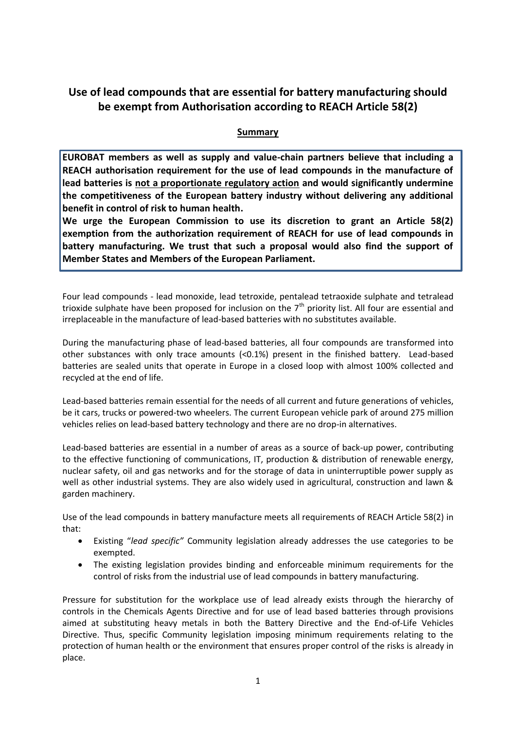# **Use of lead compounds that are essential for battery manufacturing should be exempt from Authorisation according to REACH Article 58(2)**

### **Summary**

**EUROBAT members as well as supply and value-chain partners believe that including a REACH authorisation requirement for the use of lead compounds in the manufacture of lead batteries is not a proportionate regulatory action and would significantly undermine the competitiveness of the European battery industry without delivering any additional benefit in control of risk to human health.**

**We urge the European Commission to use its discretion to grant an Article 58(2) exemption from the authorization requirement of REACH for use of lead compounds in battery manufacturing. We trust that such a proposal would also find the support of Member States and Members of the European Parliament.**

Four lead compounds - lead monoxide, lead tetroxide, pentalead tetraoxide sulphate and tetralead trioxide sulphate have been proposed for inclusion on the  $7<sup>th</sup>$  priority list. All four are essential and irreplaceable in the manufacture of lead-based batteries with no substitutes available.

During the manufacturing phase of lead-based batteries, all four compounds are transformed into other substances with only trace amounts (<0.1%) present in the finished battery. Lead-based batteries are sealed units that operate in Europe in a closed loop with almost 100% collected and recycled at the end of life.

Lead-based batteries remain essential for the needs of all current and future generations of vehicles, be it cars, trucks or powered-two wheelers. The current European vehicle park of around 275 million vehicles relies on lead-based battery technology and there are no drop-in alternatives.

Lead-based batteries are essential in a number of areas as a source of back-up power, contributing to the effective functioning of communications, IT, production & distribution of renewable energy, nuclear safety, oil and gas networks and for the storage of data in uninterruptible power supply as well as other industrial systems. They are also widely used in agricultural, construction and lawn & garden machinery.

Use of the lead compounds in battery manufacture meets all requirements of REACH Article 58(2) in that:

- Existing "*lead specific"* Community legislation already addresses the use categories to be exempted.
- The existing legislation provides binding and enforceable minimum requirements for the control of risks from the industrial use of lead compounds in battery manufacturing.

Pressure for substitution for the workplace use of lead already exists through the hierarchy of controls in the Chemicals Agents Directive and for use of lead based batteries through provisions aimed at substituting heavy metals in both the Battery Directive and the End-of-Life Vehicles Directive. Thus, specific Community legislation imposing minimum requirements relating to the protection of human health or the environment that ensures proper control of the risks is already in place.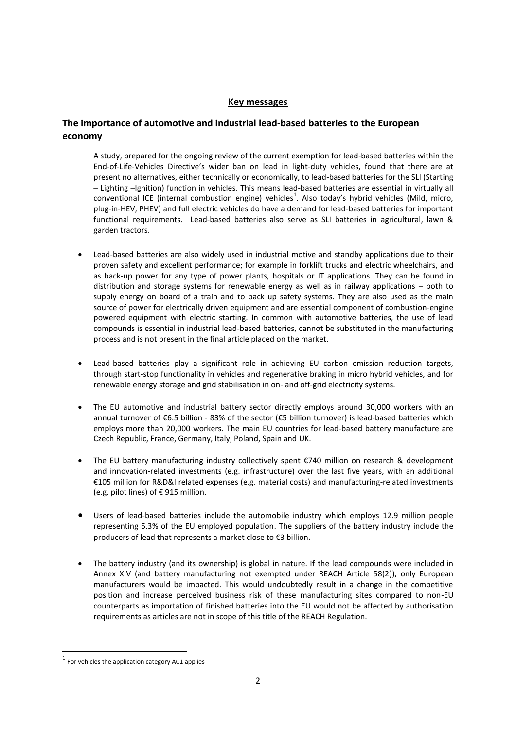#### **Key messages**

### **The importance of automotive and industrial lead-based batteries to the European economy**

A study, prepared for the ongoing review of the current exemption for lead-based batteries within the End-of-Life-Vehicles Directive's wider ban on lead in light-duty vehicles, found that there are at present no alternatives, either technically or economically, to lead-based batteries for the SLI (Starting – Lighting –Ignition) function in vehicles. This means lead-based batteries are essential in virtually all conventional ICE (internal combustion engine) vehicles<sup>1</sup>. Also today's hybrid vehicles (Mild, micro, plug-in-HEV, PHEV) and full electric vehicles do have a demand for lead-based batteries for important functional requirements. Lead-based batteries also serve as SLI batteries in agricultural, lawn & garden tractors.

- Lead-based batteries are also widely used in industrial motive and standby applications due to their proven safety and excellent performance; for example in forklift trucks and electric wheelchairs, and as back-up power for any type of power plants, hospitals or IT applications. They can be found in distribution and storage systems for renewable energy as well as in railway applications – both to supply energy on board of a train and to back up safety systems. They are also used as the main source of power for electrically driven equipment and are essential component of combustion-engine powered equipment with electric starting. In common with automotive batteries, the use of lead compounds is essential in industrial lead-based batteries, cannot be substituted in the manufacturing process and is not present in the final article placed on the market.
- Lead-based batteries play a significant role in achieving EU carbon emission reduction targets, through start-stop functionality in vehicles and regenerative braking in micro hybrid vehicles, and for renewable energy storage and grid stabilisation in on- and off-grid electricity systems.
- The EU automotive and industrial battery sector directly employs around 30,000 workers with an annual turnover of €6.5 billion - 83% of the sector (€5 billion turnover) is lead-based batteries which employs more than 20,000 workers. The main EU countries for lead-based battery manufacture are Czech Republic, France, Germany, Italy, Poland, Spain and UK.
- The EU battery manufacturing industry collectively spent €740 million on research & development and innovation-related investments (e.g. infrastructure) over the last five years, with an additional €105 million for R&D&I related expenses (e.g. material costs) and manufacturing-related investments (e.g. pilot lines) of € 915 million.
- Users of lead-based batteries include the automobile industry which employs 12.9 million people representing 5.3% of the EU employed population. The suppliers of the battery industry include the producers of lead that represents a market close to €3 billion.
- The battery industry (and its ownership) is global in nature. If the lead compounds were included in Annex XIV (and battery manufacturing not exempted under REACH Article 58(2)), only European manufacturers would be impacted. This would undoubtedly result in a change in the competitive position and increase perceived business risk of these manufacturing sites compared to non-EU counterparts as importation of finished batteries into the EU would not be affected by authorisation requirements as articles are not in scope of this title of the REACH Regulation.

**.** 

 $1$  For vehicles the application category AC1 applies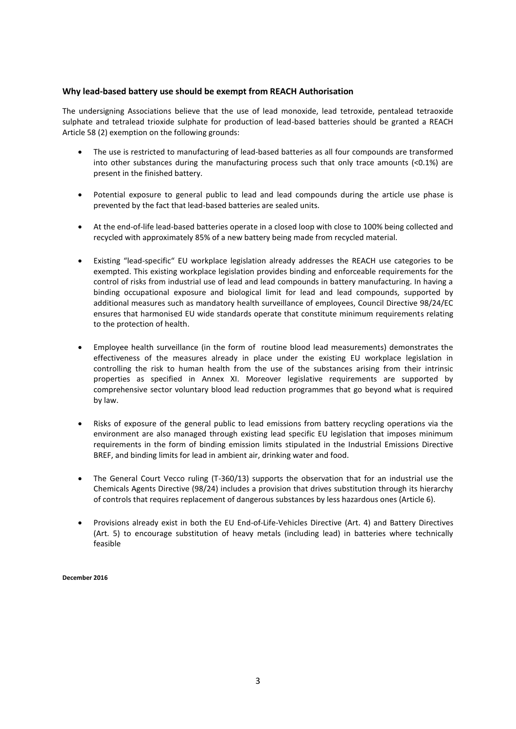#### **Why lead-based battery use should be exempt from REACH Authorisation**

The undersigning Associations believe that the use of lead monoxide, lead tetroxide, pentalead tetraoxide sulphate and tetralead trioxide sulphate for production of lead-based batteries should be granted a REACH Article 58 (2) exemption on the following grounds:

- The use is restricted to manufacturing of lead-based batteries as all four compounds are transformed into other substances during the manufacturing process such that only trace amounts  $\langle$ <0.1%) are present in the finished battery.
- Potential exposure to general public to lead and lead compounds during the article use phase is prevented by the fact that lead-based batteries are sealed units.
- At the end-of-life lead-based batteries operate in a closed loop with close to 100% being collected and recycled with approximately 85% of a new battery being made from recycled material.
- Existing "lead-specific" EU workplace legislation already addresses the REACH use categories to be exempted. This existing workplace legislation provides binding and enforceable requirements for the control of risks from industrial use of lead and lead compounds in battery manufacturing. In having a binding occupational exposure and biological limit for lead and lead compounds, supported by additional measures such as mandatory health surveillance of employees, Council Directive 98/24/EC ensures that harmonised EU wide standards operate that constitute minimum requirements relating to the protection of health.
- Employee health surveillance (in the form of routine blood lead measurements) demonstrates the effectiveness of the measures already in place under the existing EU workplace legislation in controlling the risk to human health from the use of the substances arising from their intrinsic properties as specified in Annex XI. Moreover legislative requirements are supported by comprehensive sector voluntary blood lead reduction programmes that go beyond what is required by law.
- Risks of exposure of the general public to lead emissions from battery recycling operations via the environment are also managed through existing lead specific EU legislation that imposes minimum requirements in the form of binding emission limits stipulated in the Industrial Emissions Directive BREF, and binding limits for lead in ambient air, drinking water and food.
- The General Court Vecco ruling (T-360/13) supports the observation that for an industrial use the Chemicals Agents Directive (98/24) includes a provision that drives substitution through its hierarchy of controls that requires replacement of dangerous substances by less hazardous ones (Article 6).
- Provisions already exist in both the EU End-of-Life-Vehicles Directive (Art. 4) and Battery Directives (Art. 5) to encourage substitution of heavy metals (including lead) in batteries where technically feasible

**December 2016**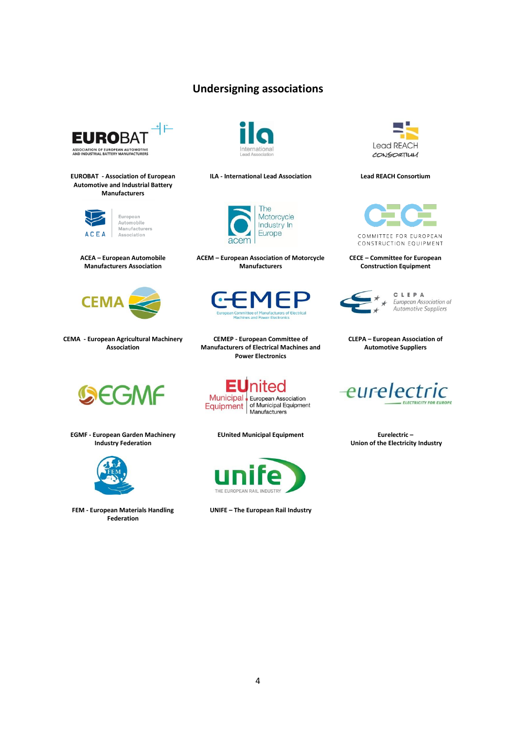## **Undersigning associations**



**EUROBAT - Association of European Automotive and Industrial Battery Manufacturers**



European Automobile<br>Manufacturers Association





**CEMA - European Agricultural Machinery Association**



**EGMF - European Garden Machinery Industry Federation**



**FEM - European Materials Handling Federation**



**ILA - International Lead Association Lead REACH Consortium**



**ACEM – European Association of Motorcycle Manufacturers**



**CEMEP - European Committee of Manufacturers of Electrical Machines and Power Electronics**

**Municipal** European Association Equipment of Municipal Equipment<br>Manufacturers

**EUnited Municipal Equipment Eurelectric –**



**UNIFE – The European Rail Industry**





CONSTRUCTION EQUIPMENT

**CECE – Committee for European Construction Equipment**



CLEPA European Association of Automotive Suppliers





**Union of the Electricity Industry**